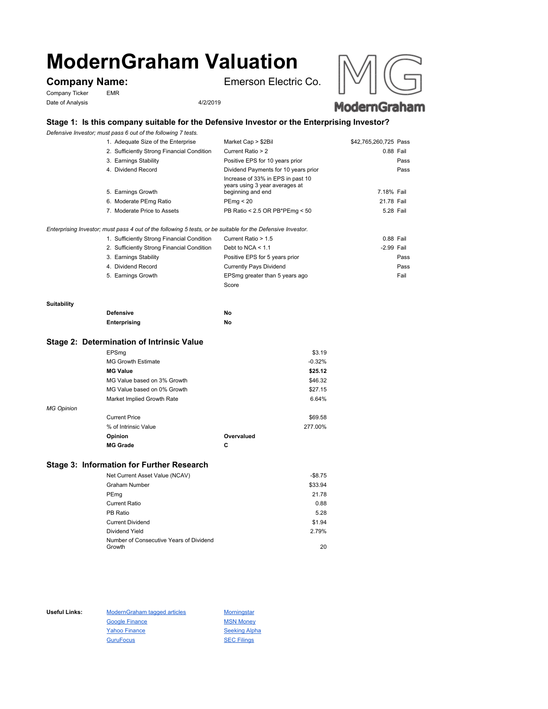# **ModernGraham Valuation**

Company Ticker EMR Date of Analysis 4/2/2019

**Company Name:** Emerson Electric Co.





# **Stage 1: Is this company suitable for the Defensive Investor or the Enterprising Investor?**

*Defensive Investor; must pass 6 out of the following 7 tests.*

| 1. Adequate Size of the Enterprise                                                          | Market Cap > \$2Bil                                                                      | \$42,765,260,725 Pass |      |
|---------------------------------------------------------------------------------------------|------------------------------------------------------------------------------------------|-----------------------|------|
| 2. Sufficiently Strong Financial Condition                                                  | Current Ratio > 2                                                                        | 0.88 Fail             |      |
| 3. Earnings Stability                                                                       | Positive EPS for 10 years prior                                                          |                       | Pass |
| 4. Dividend Record                                                                          | Dividend Payments for 10 years prior                                                     |                       | Pass |
| 5. Earnings Growth                                                                          | Increase of 33% in EPS in past 10<br>years using 3 year averages at<br>beginning and end | 7.18% Fail            |      |
| 6. Moderate PEmg Ratio                                                                      | PEmg < 20                                                                                | 21.78 Fail            |      |
| 7. Moderate Price to Assets                                                                 | PB Ratio < 2.5 OR PB*PEmg < 50                                                           | 5.28 Fail             |      |
| stan norsk vaar. I and af the fallendam E taste, an ha andtable fan the Dafonadise luisaten |                                                                                          |                       |      |

### *Enterprising Investor; must pass 4 out of the following 5 tests, or be suitable for the Defensive Investor.*

| 1. Sufficiently Strong Financial Condition | Current Ratio > 1.5            | 0.88 Fail  |      |
|--------------------------------------------|--------------------------------|------------|------|
| 2. Sufficiently Strong Financial Condition | Debt to NCA $<$ 1.1            | -2.99 Fail |      |
| 3. Earnings Stability                      | Positive EPS for 5 years prior |            | Pass |
| 4. Dividend Record                         | <b>Currently Pays Dividend</b> |            | Pass |
| 5. Earnings Growth                         | EPSmg greater than 5 years ago |            | Fail |
|                                            | Score                          |            |      |

#### **Suitability**

| <b>Defensive</b> | Νo |
|------------------|----|
| Enterprising     | Νo |

# **Stage 2: Determination of Intrinsic Value**

|                   | <b>MG Grade</b>             | С          |          |
|-------------------|-----------------------------|------------|----------|
|                   | Opinion                     | Overvalued |          |
|                   | % of Intrinsic Value        |            | 277.00%  |
|                   | <b>Current Price</b>        |            | \$69.58  |
| <b>MG Opinion</b> |                             |            |          |
|                   | Market Implied Growth Rate  |            | 6.64%    |
|                   | MG Value based on 0% Growth |            | \$27.15  |
|                   | MG Value based on 3% Growth |            | \$46.32  |
|                   | <b>MG Value</b>             |            | \$25.12  |
|                   | <b>MG Growth Estimate</b>   |            | $-0.32%$ |
|                   | EPSmg                       |            | \$3.19   |

# **Stage 3: Information for Further Research**

| Net Current Asset Value (NCAV)          | $-$8.75$ |
|-----------------------------------------|----------|
| <b>Graham Number</b>                    | \$33.94  |
| PEmg                                    | 21.78    |
| Current Ratio                           | 0.88     |
| PB Ratio                                | 5.28     |
| <b>Current Dividend</b>                 | \$1.94   |
| Dividend Yield                          | 2.79%    |
| Number of Consecutive Years of Dividend |          |
| Growth                                  | 20       |

Useful Links: ModernGraham tagged articles Morningstar Google Finance MSN Money Yahoo Finance Seeking Alpha GuruFocus SEC Filings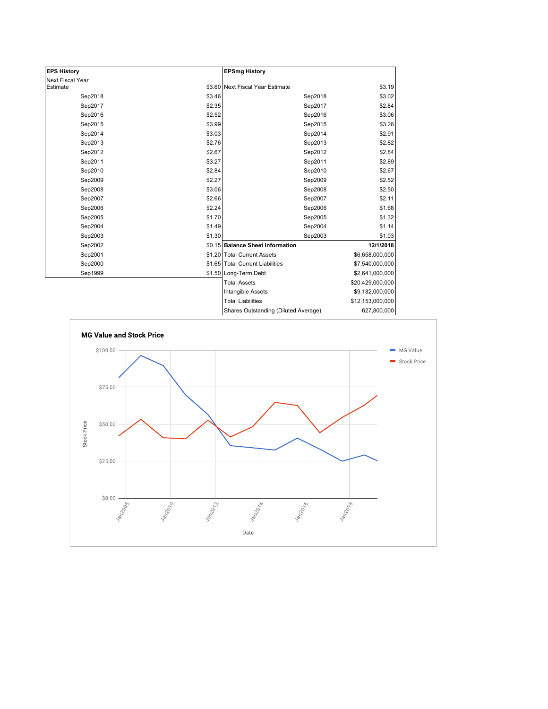| <b>EPS History</b> |        | <b>EPSmg History</b>                 |                  |
|--------------------|--------|--------------------------------------|------------------|
| Next Fiscal Year   |        |                                      |                  |
| Estimate           |        | \$3.60 Next Fiscal Year Estimate     | \$3.19           |
| Sep2018            | \$3.46 | Sep2018                              | \$3.02           |
| Sep2017            | \$2.35 | Sep2017                              | \$2.84           |
| Sep2016            | \$2.52 | Sep2016                              | \$3.06           |
| Sep2015            | \$3.99 | Sep2015                              | \$3.26           |
| Sep2014            | \$3.03 | Sep2014                              | \$2.91           |
| Sep2013            | \$2.76 | Sep2013                              | \$2.82           |
| Sep2012            | \$2.67 | Sep2012                              | \$2.84           |
| Sep2011            | \$3.27 | Sep2011                              | \$2.89           |
| Sep2010            | \$2.84 | Sep2010                              | \$2.67           |
| Sep2009            | \$2.27 | Sep2009                              | \$2.52           |
| Sep2008            | \$3.06 | Sep2008                              | \$2.50           |
| Sep2007            | \$2.66 | Sep2007                              | \$2.11           |
| Sep2006            | \$2.24 | Sep2006                              | \$1.68           |
| Sep2005            | \$1.70 | Sep2005                              | \$1.32           |
| Sep2004            | \$1.49 | Sep2004                              | \$1.14           |
| Sep2003            | \$1.30 | Sep2003                              | \$1.03           |
| Sep2002            |        | \$0.15 Balance Sheet Information     | 12/1/2018        |
| Sep2001            |        | \$1.20 Total Current Assets          | \$6,658,000,000  |
| Sep2000            |        | \$1.65 Total Current Liabilities     | \$7,540,000,000  |
| Sep1999            |        | \$1.50 Long-Term Debt                | \$2,641,000,000  |
|                    |        | <b>Total Assets</b>                  | \$20,429,000,000 |
|                    |        | Intangible Assets                    | \$9,182,000,000  |
|                    |        | <b>Total Liabilities</b>             | \$12,153,000,000 |
|                    |        | Shares Outstanding (Diluted Average) | 627,800,000      |